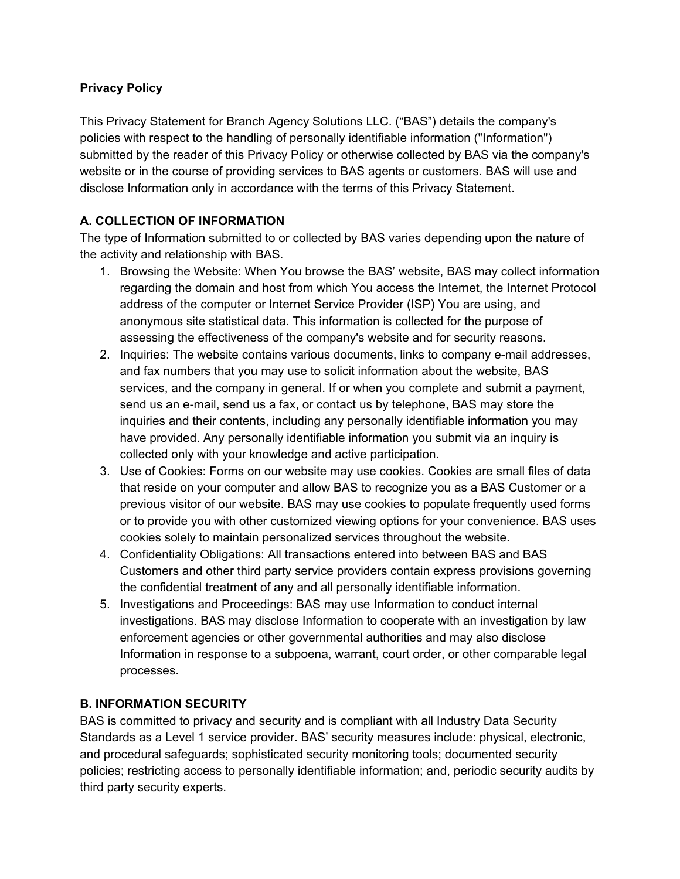## **Privacy Policy**

This Privacy Statement for Branch Agency Solutions LLC. ("BAS") details the company's policies with respect to the handling of personally identifiable information ("Information") submitted by the reader of this Privacy Policy or otherwise collected by BAS via the company's website or in the course of providing services to BAS agents or customers. BAS will use and disclose Information only in accordance with the terms of this Privacy Statement.

## **A. COLLECTION OF INFORMATION**

The type of Information submitted to or collected by BAS varies depending upon the nature of the activity and relationship with BAS.

- 1. Browsing the Website: When You browse the BAS' website, BAS may collect information regarding the domain and host from which You access the Internet, the Internet Protocol address of the computer or Internet Service Provider (ISP) You are using, and anonymous site statistical data. This information is collected for the purpose of assessing the effectiveness of the company's website and for security reasons.
- 2. Inquiries: The website contains various documents, links to company e-mail addresses, and fax numbers that you may use to solicit information about the website, BAS services, and the company in general. If or when you complete and submit a payment, send us an e-mail, send us a fax, or contact us by telephone, BAS may store the inquiries and their contents, including any personally identifiable information you may have provided. Any personally identifiable information you submit via an inquiry is collected only with your knowledge and active participation.
- 3. Use of Cookies: Forms on our website may use cookies. Cookies are small files of data that reside on your computer and allow BAS to recognize you as a BAS Customer or a previous visitor of our website. BAS may use cookies to populate frequently used forms or to provide you with other customized viewing options for your convenience. BAS uses cookies solely to maintain personalized services throughout the website.
- 4. Confidentiality Obligations: All transactions entered into between BAS and BAS Customers and other third party service providers contain express provisions governing the confidential treatment of any and all personally identifiable information.
- 5. Investigations and Proceedings: BAS may use Information to conduct internal investigations. BAS may disclose Information to cooperate with an investigation by law enforcement agencies or other governmental authorities and may also disclose Information in response to a subpoena, warrant, court order, or other comparable legal processes.

## **B. INFORMATION SECURITY**

BAS is committed to privacy and security and is compliant with all Industry Data Security Standards as a Level 1 service provider. BAS' security measures include: physical, electronic, and procedural safeguards; sophisticated security monitoring tools; documented security policies; restricting access to personally identifiable information; and, periodic security audits by third party security experts.